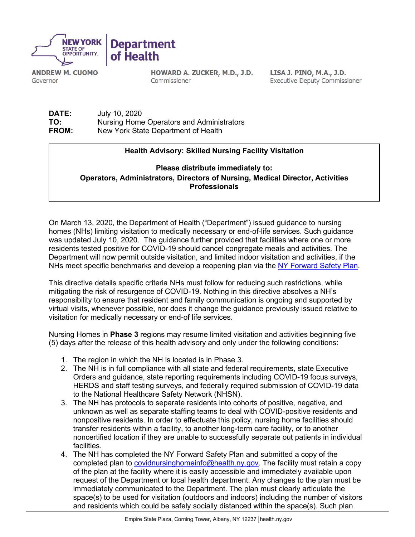

**ANDREW M. CUOMO** Governor

HOWARD A. ZUCKER, M.D., J.D. Commissioner

LISA J. PINO, M.A., J.D. **Executive Deputy Commissioner** 

**DATE:** July 10, 2020 **TO:** Nursing Home Operators and Administrators<br> **FROM:** New York State Department of Health New York State Department of Health

## **Health Advisory: Skilled Nursing Facility Visitation**

**Please distribute immediately to: Operators, Administrators, Directors of Nursing, Medical Director, Activities Professionals**

On March 13, 2020, the Department of Health ("Department") issued guidance to nursing homes (NHs) limiting visitation to medically necessary or end-of-life services. Such guidance was updated July 10, 2020. The guidance further provided that facilities where one or more residents tested positive for COVID-19 should cancel congregate meals and activities. The Department will now permit outside visitation, and limited indoor visitation and activities, if the NHs meet specific benchmarks and develop a reopening plan via the [NY Forward Safety Plan.](https://www.governor.ny.gov/sites/governor.ny.gov/files/atoms/files/NYS_BusinessReopeningSafetyPlanTemplate.pdf)

This directive details specific criteria NHs must follow for reducing such restrictions, while mitigating the risk of resurgence of COVID-19. Nothing in this directive absolves a NH's responsibility to ensure that resident and family communication is ongoing and supported by virtual visits, whenever possible, nor does it change the guidance previously issued relative to visitation for medically necessary or end-of life services.

Nursing Homes in **Phase 3** regions may resume limited visitation and activities beginning five (5) days after the release of this health advisory and only under the following conditions:

- 1. The region in which the NH is located is in Phase 3.
- 2. The NH is in full compliance with all state and federal requirements, state Executive Orders and guidance, state reporting requirements including COVID-19 focus surveys, HERDS and staff testing surveys, and federally required submission of COVID-19 data to the National Healthcare Safety Network (NHSN).
- 3. The NH has protocols to separate residents into cohorts of positive, negative, and unknown as well as separate staffing teams to deal with COVID-positive residents and nonpositive residents. In order to effectuate this policy, nursing home facilities should transfer residents within a facility, to another long-term care facility, or to another noncertified location if they are unable to successfully separate out patients in individual facilities.
- 4. The NH has completed the NY Forward Safety Plan and submitted a copy of the completed plan to [covidnursinghomeinfo@health.ny.gov.](mailto:covidnursinghomeinfo@health.ny.gov) The facility must retain a copy of the plan at the facility where it is easily accessible and immediately available upon request of the Department or local health department. Any changes to the plan must be immediately communicated to the Department. The plan must clearly articulate the space(s) to be used for visitation (outdoors and indoors) including the number of visitors and residents which could be safely socially distanced within the space(s). Such plan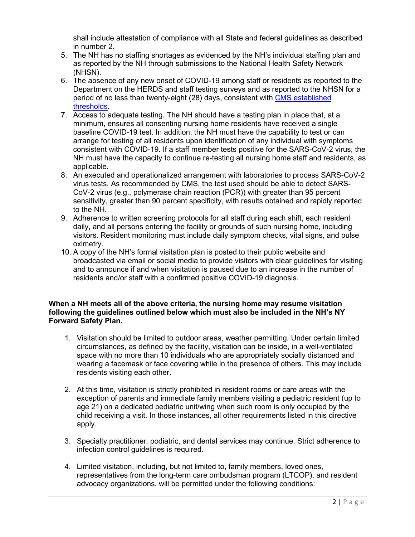shall include attestation of compliance with all State and federal guidelines as described in number 2.

- 5. The NH has no staffing shortages as evidenced by the NH's individual staffing plan and as reported by the NH through submissions to the National Health Safety Network (NHSN).
- 6. The absence of any new onset of COVID-19 among staff or residents as reported to the Department on the HERDS and staff testing surveys and as reported to the NHSN for a period of no less than twenty-eight (28) days, consistent with CMS [established](https://www.cms.gov/files/document/covid-visitation-nursing-home-residents.pdf)  [thresholds.](https://www.cms.gov/files/document/covid-visitation-nursing-home-residents.pdf)
- 7. Access to adequate testing. The NH should have a testing plan in place that, at a minimum, ensures all consenting nursing home residents have received a single baseline COVID-19 test. In addition, the NH must have the capability to test or can arrange for testing of all residents upon identification of any individual with symptoms consistent with COVID-19. If a staff member tests positive for the SARS-CoV-2 virus, the NH must have the capacity to continue re-testing all nursing home staff and residents, as applicable.
- 8. An executed and operationalized arrangement with laboratories to process SARS-CoV-2 virus tests. As recommended by CMS, the test used should be able to detect SARS-CoV-2 virus (e.g., polymerase chain reaction (PCR)) with greater than 95 percent sensitivity, greater than 90 percent specificity, with results obtained and rapidly reported to the NH.
- 9. Adherence to written screening protocols for all staff during each shift, each resident daily, and all persons entering the facility or grounds of such nursing home, including visitors. Resident monitoring must include daily symptom checks, vital signs, and pulse oximetry.
- 10. A copy of the NH's formal visitation plan is posted to their public website and broadcasted via email or social media to provide visitors with clear guidelines for visiting and to announce if and when visitation is paused due to an increase in the number of residents and/or staff with a confirmed positive COVID-19 diagnosis.

## **When a NH meets all of the above criteria, the nursing home may resume visitation following the guidelines outlined below which must also be included in the NH's NY Forward Safety Plan.**

- 1. Visitation should be limited to outdoor areas, weather permitting. Under certain limited circumstances, as defined by the facility, visitation can be inside, in a well-ventilated space with no more than 10 individuals who are appropriately socially distanced and wearing a facemask or face covering while in the presence of others. This may include residents visiting each other.
- 2. At this time, visitation is strictly prohibited in resident rooms or care areas with the exception of parents and immediate family members visiting a pediatric resident (up to age 21) on a dedicated pediatric unit/wing when such room is only occupied by the child receiving a visit. In those instances, all other requirements listed in this directive apply.
- 3. Specialty practitioner, podiatric, and dental services may continue. Strict adherence to infection control guidelines is required.
- 4. Limited visitation, including, but not limited to, family members, loved ones, representatives from the long-term care ombudsman program (LTCOP), and resident advocacy organizations, will be permitted under the following conditions: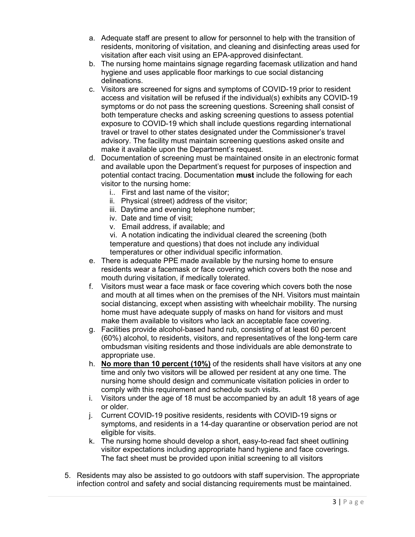- a. Adequate staff are present to allow for personnel to help with the transition of residents, monitoring of visitation, and cleaning and disinfecting areas used for visitation after each visit using an EPA-approved disinfectant.
- b. The nursing home maintains signage regarding facemask utilization and hand hygiene and uses applicable floor markings to cue social distancing delineations.
- c. Visitors are screened for signs and symptoms of COVID-19 prior to resident access and visitation will be refused if the individual(s) exhibits any COVID-19 symptoms or do not pass the screening questions. Screening shall consist of both temperature checks and asking screening questions to assess potential exposure to COVID-19 which shall include questions regarding international travel or travel to other states designated under the Commissioner's travel advisory. The facility must maintain screening questions asked onsite and make it available upon the Department's request.
- d. Documentation of screening must be maintained onsite in an electronic format and available upon the Department's request for purposes of inspection and potential contact tracing. Documentation **must** include the following for each visitor to the nursing home:
	- i.. First and last name of the visitor;
	- ii. Physical (street) address of the visitor;
	- iii. Daytime and evening telephone number;
	- iv. Date and time of visit;
	- v. Email address, if available; and

vi. A notation indicating the individual cleared the screening (both temperature and questions) that does not include any individual temperatures or other individual specific information.

- e. There is adequate PPE made available by the nursing home to ensure residents wear a facemask or face covering which covers both the nose and mouth during visitation, if medically tolerated.
- f. Visitors must wear a face mask or face covering which covers both the nose and mouth at all times when on the premises of the NH. Visitors must maintain social distancing, except when assisting with wheelchair mobility. The nursing home must have adequate supply of masks on hand for visitors and must make them available to visitors who lack an acceptable face covering.
- g. Facilities provide alcohol-based hand rub, consisting of at least 60 percent (60%) alcohol, to residents, visitors, and representatives of the long-term care ombudsman visiting residents and those individuals are able demonstrate to appropriate use.
- h. **No more than 10 percent (10%)** of the residents shall have visitors at any one time and only two visitors will be allowed per resident at any one time. The nursing home should design and communicate visitation policies in order to comply with this requirement and schedule such visits.
- i. Visitors under the age of 18 must be accompanied by an adult 18 years of age or older.
- j. Current COVID-19 positive residents, residents with COVID-19 signs or symptoms, and residents in a 14-day quarantine or observation period are not eligible for visits.
- k. The nursing home should develop a short, easy-to-read fact sheet outlining visitor expectations including appropriate hand hygiene and face coverings. The fact sheet must be provided upon initial screening to all visitors
- 5. Residents may also be assisted to go outdoors with staff supervision. The appropriate infection control and safety and social distancing requirements must be maintained.